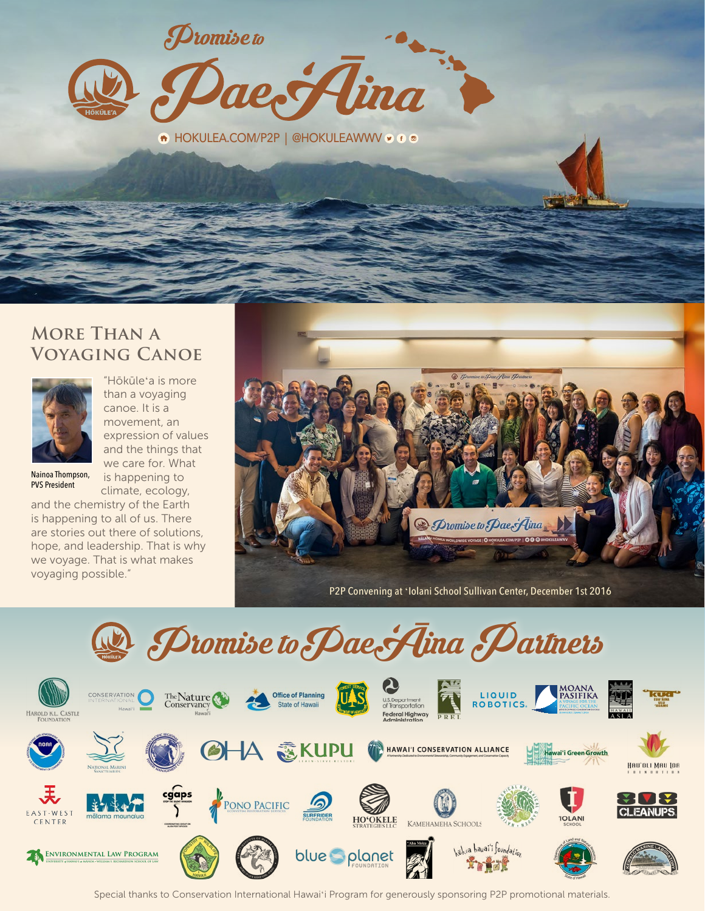$\mathcal D$ tomise to e Hina

**A** HOKULEA.COM/P2P | @HOKULEAWWV of @

### **More Than a Voyaging Canoe**



"Hōkūleʻa is more than a voyaging canoe. It is a movement, an expression of values and the things that we care for. What

Nainoa Thompson, PVS President

is happening to climate, ecology,

and the chemistry of the Earth is happening to all of us. There are stories out there of solutions, hope, and leadership. That is why we voyage. That is what makes voyaging possible."



P2P Convening at ʻIolani School Sullivan Center, December 1st 2016



Special thanks to Conservation International Hawaiʻi Program for generously sponsoring P2P promotional materials.